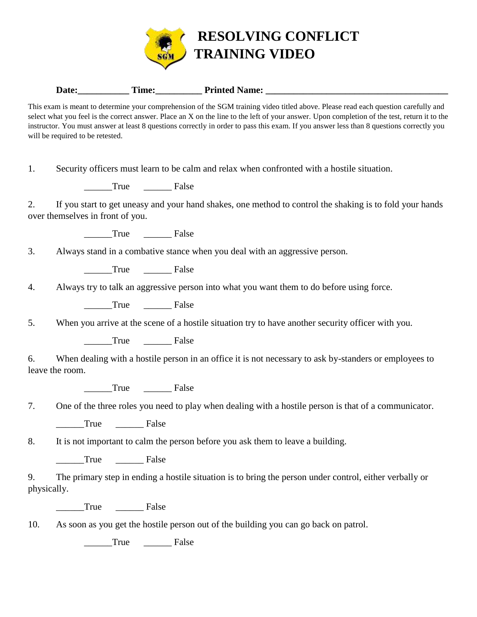

## Date: Time: Time: Printed Name:

This exam is meant to determine your comprehension of the SGM training video titled above. Please read each question carefully and select what you feel is the correct answer. Place an X on the line to the left of your answer. Upon completion of the test, return it to the instructor. You must answer at least 8 questions correctly in order to pass this exam. If you answer less than 8 questions correctly you will be required to be retested.

1. Security officers must learn to be calm and relax when confronted with a hostile situation.

True False

2. If you start to get uneasy and your hand shakes, one method to control the shaking is to fold your hands over themselves in front of you.

True False

3. Always stand in a combative stance when you deal with an aggressive person.

\_\_\_\_\_\_True \_\_\_\_\_\_ False

4. Always try to talk an aggressive person into what you want them to do before using force.

True False

5. When you arrive at the scene of a hostile situation try to have another security officer with you.

True False

6. When dealing with a hostile person in an office it is not necessary to ask by-standers or employees to leave the room.

\_\_\_\_\_\_True \_\_\_\_\_\_ False

|  |  |  | One of the three roles you need to play when dealing with a hostile person is that of a communicator. |  |  |
|--|--|--|-------------------------------------------------------------------------------------------------------|--|--|
|--|--|--|-------------------------------------------------------------------------------------------------------|--|--|

True <u>\_\_\_\_</u> False

8. It is not important to calm the person before you ask them to leave a building.

True False

9. The primary step in ending a hostile situation is to bring the person under control, either verbally or physically.

True <del>\_\_\_\_</del> False

10. As soon as you get the hostile person out of the building you can go back on patrol.

True False